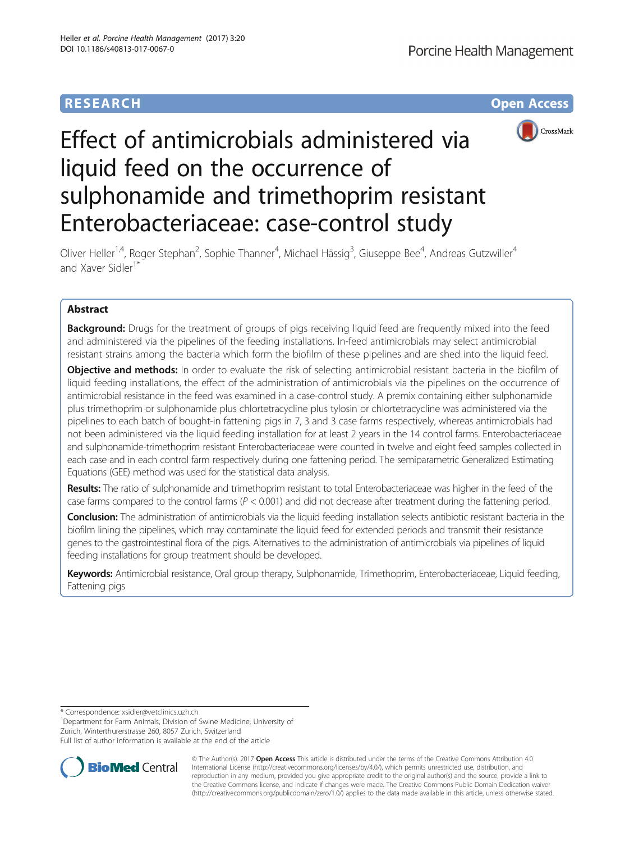# **RESEARCH RESEARCH** *CHECK <b>CHECK*

Porcine Health Management



# Effect of antimicrobials administered via liquid feed on the occurrence of sulphonamide and trimethoprim resistant Enterobacteriaceae: case-control study

Oliver Heller<sup>1,4</sup>, Roger Stephan<sup>2</sup>, Sophie Thanner<sup>4</sup>, Michael Hässig<sup>3</sup>, Giuseppe Bee<sup>4</sup>, Andreas Gutzwiller<sup>4</sup> and Xaver Sidler<sup>1\*</sup>

# Abstract

**Background:** Drugs for the treatment of groups of pigs receiving liquid feed are frequently mixed into the feed and administered via the pipelines of the feeding installations. In-feed antimicrobials may select antimicrobial resistant strains among the bacteria which form the biofilm of these pipelines and are shed into the liquid feed.

Objective and methods: In order to evaluate the risk of selecting antimicrobial resistant bacteria in the biofilm of liquid feeding installations, the effect of the administration of antimicrobials via the pipelines on the occurrence of antimicrobial resistance in the feed was examined in a case-control study. A premix containing either sulphonamide plus trimethoprim or sulphonamide plus chlortetracycline plus tylosin or chlortetracycline was administered via the pipelines to each batch of bought-in fattening pigs in 7, 3 and 3 case farms respectively, whereas antimicrobials had not been administered via the liquid feeding installation for at least 2 years in the 14 control farms. Enterobacteriaceae and sulphonamide-trimethoprim resistant Enterobacteriaceae were counted in twelve and eight feed samples collected in each case and in each control farm respectively during one fattening period. The semiparametric Generalized Estimating Equations (GEE) method was used for the statistical data analysis.

Results: The ratio of sulphonamide and trimethoprim resistant to total Enterobacteriaceae was higher in the feed of the case farms compared to the control farms ( $P < 0.001$ ) and did not decrease after treatment during the fattening period.

Conclusion: The administration of antimicrobials via the liquid feeding installation selects antibiotic resistant bacteria in the biofilm lining the pipelines, which may contaminate the liquid feed for extended periods and transmit their resistance genes to the gastrointestinal flora of the pigs. Alternatives to the administration of antimicrobials via pipelines of liquid feeding installations for group treatment should be developed.

Keywords: Antimicrobial resistance, Oral group therapy, Sulphonamide, Trimethoprim, Enterobacteriaceae, Liquid feeding, Fattening pigs

\* Correspondence: [xsidler@vetclinics.uzh.ch](mailto:xsidler@vetclinics.uzh.ch) <sup>1</sup>

<sup>1</sup>Department for Farm Animals, Division of Swine Medicine, University of Zurich, Winterthurerstrasse 260, 8057 Zurich, Switzerland

Full list of author information is available at the end of the article



© The Author(s). 2017 **Open Access** This article is distributed under the terms of the Creative Commons Attribution 4.0 International License [\(http://creativecommons.org/licenses/by/4.0/](http://creativecommons.org/licenses/by/4.0/)), which permits unrestricted use, distribution, and reproduction in any medium, provided you give appropriate credit to the original author(s) and the source, provide a link to the Creative Commons license, and indicate if changes were made. The Creative Commons Public Domain Dedication waiver [\(http://creativecommons.org/publicdomain/zero/1.0/](http://creativecommons.org/publicdomain/zero/1.0/)) applies to the data made available in this article, unless otherwise stated.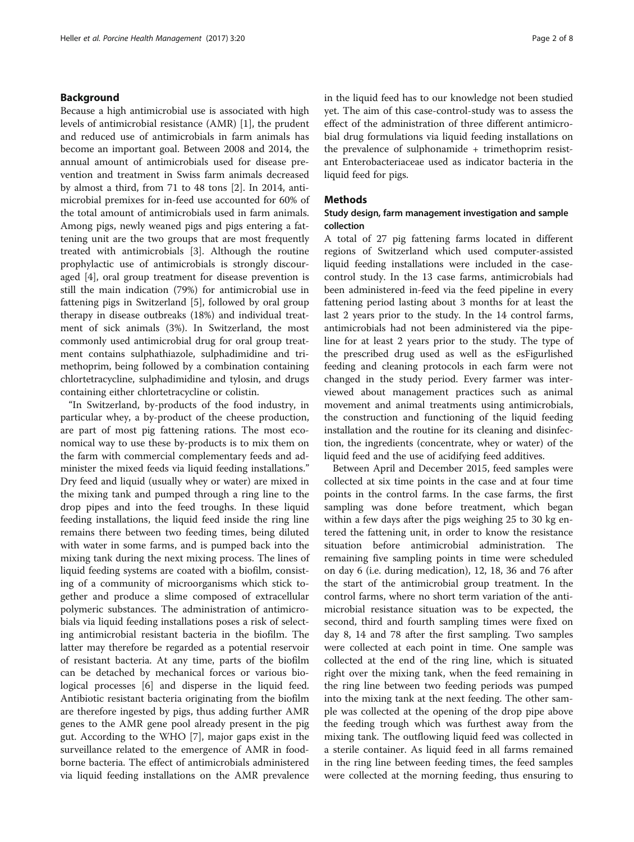# Background

Because a high antimicrobial use is associated with high levels of antimicrobial resistance (AMR) [[1\]](#page-6-0), the prudent and reduced use of antimicrobials in farm animals has become an important goal. Between 2008 and 2014, the annual amount of antimicrobials used for disease prevention and treatment in Swiss farm animals decreased by almost a third, from 71 to 48 tons [\[2](#page-6-0)]. In 2014, antimicrobial premixes for in-feed use accounted for 60% of the total amount of antimicrobials used in farm animals. Among pigs, newly weaned pigs and pigs entering a fattening unit are the two groups that are most frequently treated with antimicrobials [[3\]](#page-6-0). Although the routine prophylactic use of antimicrobials is strongly discouraged [\[4](#page-6-0)], oral group treatment for disease prevention is still the main indication (79%) for antimicrobial use in fattening pigs in Switzerland [\[5\]](#page-6-0), followed by oral group therapy in disease outbreaks (18%) and individual treatment of sick animals (3%). In Switzerland, the most commonly used antimicrobial drug for oral group treatment contains sulphathiazole, sulphadimidine and trimethoprim, being followed by a combination containing chlortetracycline, sulphadimidine and tylosin, and drugs containing either chlortetracycline or colistin.

"In Switzerland, by-products of the food industry, in particular whey, a by-product of the cheese production, are part of most pig fattening rations. The most economical way to use these by-products is to mix them on the farm with commercial complementary feeds and administer the mixed feeds via liquid feeding installations." Dry feed and liquid (usually whey or water) are mixed in the mixing tank and pumped through a ring line to the drop pipes and into the feed troughs. In these liquid feeding installations, the liquid feed inside the ring line remains there between two feeding times, being diluted with water in some farms, and is pumped back into the mixing tank during the next mixing process. The lines of liquid feeding systems are coated with a biofilm, consisting of a community of microorganisms which stick together and produce a slime composed of extracellular polymeric substances. The administration of antimicrobials via liquid feeding installations poses a risk of selecting antimicrobial resistant bacteria in the biofilm. The latter may therefore be regarded as a potential reservoir of resistant bacteria. At any time, parts of the biofilm can be detached by mechanical forces or various biological processes [\[6](#page-6-0)] and disperse in the liquid feed. Antibiotic resistant bacteria originating from the biofilm are therefore ingested by pigs, thus adding further AMR genes to the AMR gene pool already present in the pig gut. According to the WHO [\[7](#page-6-0)], major gaps exist in the surveillance related to the emergence of AMR in foodborne bacteria. The effect of antimicrobials administered via liquid feeding installations on the AMR prevalence in the liquid feed has to our knowledge not been studied yet. The aim of this case-control-study was to assess the effect of the administration of three different antimicrobial drug formulations via liquid feeding installations on the prevalence of sulphonamide + trimethoprim resistant Enterobacteriaceae used as indicator bacteria in the liquid feed for pigs.

## Methods

# Study design, farm management investigation and sample collection

A total of 27 pig fattening farms located in different regions of Switzerland which used computer-assisted liquid feeding installations were included in the casecontrol study. In the 13 case farms, antimicrobials had been administered in-feed via the feed pipeline in every fattening period lasting about 3 months for at least the last 2 years prior to the study. In the 14 control farms, antimicrobials had not been administered via the pipeline for at least 2 years prior to the study. The type of the prescribed drug used as well as the esFigurlished feeding and cleaning protocols in each farm were not changed in the study period. Every farmer was interviewed about management practices such as animal movement and animal treatments using antimicrobials, the construction and functioning of the liquid feeding installation and the routine for its cleaning and disinfection, the ingredients (concentrate, whey or water) of the liquid feed and the use of acidifying feed additives.

Between April and December 2015, feed samples were collected at six time points in the case and at four time points in the control farms. In the case farms, the first sampling was done before treatment, which began within a few days after the pigs weighing 25 to 30 kg entered the fattening unit, in order to know the resistance situation before antimicrobial administration. The remaining five sampling points in time were scheduled on day 6 (i.e. during medication), 12, 18, 36 and 76 after the start of the antimicrobial group treatment. In the control farms, where no short term variation of the antimicrobial resistance situation was to be expected, the second, third and fourth sampling times were fixed on day 8, 14 and 78 after the first sampling. Two samples were collected at each point in time. One sample was collected at the end of the ring line, which is situated right over the mixing tank, when the feed remaining in the ring line between two feeding periods was pumped into the mixing tank at the next feeding. The other sample was collected at the opening of the drop pipe above the feeding trough which was furthest away from the mixing tank. The outflowing liquid feed was collected in a sterile container. As liquid feed in all farms remained in the ring line between feeding times, the feed samples were collected at the morning feeding, thus ensuring to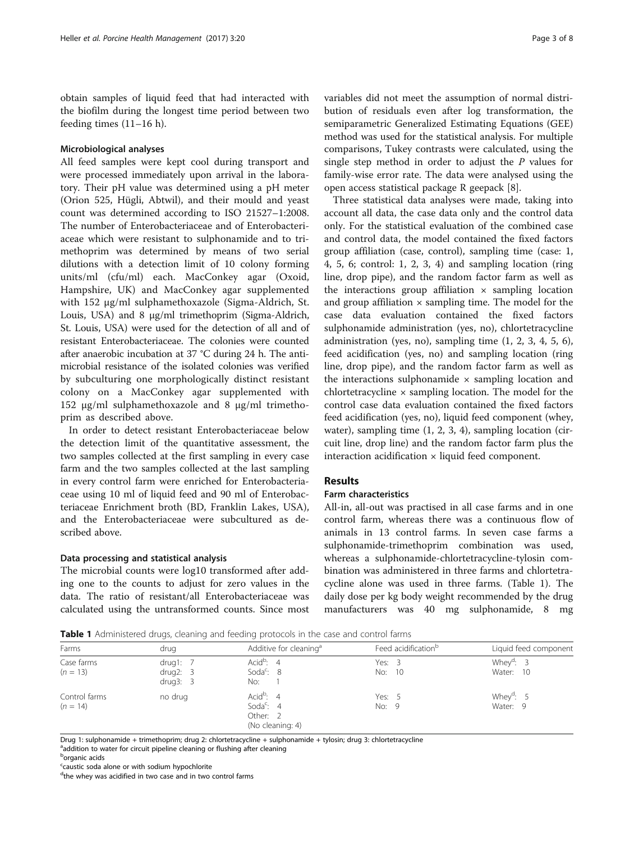<span id="page-2-0"></span>obtain samples of liquid feed that had interacted with the biofilm during the longest time period between two feeding times  $(11–16 h)$ .

# Microbiological analyses

All feed samples were kept cool during transport and were processed immediately upon arrival in the laboratory. Their pH value was determined using a pH meter (Orion 525, Hügli, Abtwil), and their mould and yeast count was determined according to ISO 21527–1:2008. The number of Enterobacteriaceae and of Enterobacteriaceae which were resistant to sulphonamide and to trimethoprim was determined by means of two serial dilutions with a detection limit of 10 colony forming units/ml (cfu/ml) each. MacConkey agar (Oxoid, Hampshire, UK) and MacConkey agar supplemented with 152 μg/ml sulphamethoxazole (Sigma-Aldrich, St. Louis, USA) and 8 μg/ml trimethoprim (Sigma-Aldrich, St. Louis, USA) were used for the detection of all and of resistant Enterobacteriaceae. The colonies were counted after anaerobic incubation at 37 °C during 24 h. The antimicrobial resistance of the isolated colonies was verified by subculturing one morphologically distinct resistant colony on a MacConkey agar supplemented with 152 μg/ml sulphamethoxazole and 8 μg/ml trimethoprim as described above.

In order to detect resistant Enterobacteriaceae below the detection limit of the quantitative assessment, the two samples collected at the first sampling in every case farm and the two samples collected at the last sampling in every control farm were enriched for Enterobacteriaceae using 10 ml of liquid feed and 90 ml of Enterobacteriaceae Enrichment broth (BD, Franklin Lakes, USA), and the Enterobacteriaceae were subcultured as described above.

## Data processing and statistical analysis

The microbial counts were log10 transformed after adding one to the counts to adjust for zero values in the data. The ratio of resistant/all Enterobacteriaceae was calculated using the untransformed counts. Since most variables did not meet the assumption of normal distribution of residuals even after log transformation, the semiparametric Generalized Estimating Equations (GEE) method was used for the statistical analysis. For multiple comparisons, Tukey contrasts were calculated, using the single step method in order to adjust the  $P$  values for family-wise error rate. The data were analysed using the open access statistical package R geepack [[8\]](#page-6-0).

Three statistical data analyses were made, taking into account all data, the case data only and the control data only. For the statistical evaluation of the combined case and control data, the model contained the fixed factors group affiliation (case, control), sampling time (case: 1, 4, 5, 6; control: 1, 2, 3, 4) and sampling location (ring line, drop pipe), and the random factor farm as well as the interactions group affiliation  $\times$  sampling location and group affiliation  $\times$  sampling time. The model for the case data evaluation contained the fixed factors sulphonamide administration (yes, no), chlortetracycline administration (yes, no), sampling time (1, 2, 3, 4, 5, 6), feed acidification (yes, no) and sampling location (ring line, drop pipe), and the random factor farm as well as the interactions sulphonamide  $\times$  sampling location and chlortetracycline  $\times$  sampling location. The model for the control case data evaluation contained the fixed factors feed acidification (yes, no), liquid feed component (whey, water), sampling time (1, 2, 3, 4), sampling location (circuit line, drop line) and the random factor farm plus the interaction acidification  $\times$  liquid feed component.

# Results

# Farm characteristics

All-in, all-out was practised in all case farms and in one control farm, whereas there was a continuous flow of animals in 13 control farms. In seven case farms a sulphonamide-trimethoprim combination was used, whereas a sulphonamide-chlortetracycline-tylosin combination was administered in three farms and chlortetracycline alone was used in three farms. (Table 1). The daily dose per kg body weight recommended by the drug manufacturers was 40 mg sulphonamide, 8 mg

**Table 1** Administered drugs, cleaning and feeding protocols in the case and control farms

| <b>TWIND T</b> Harminstered arags, elemning and recaing protocols in the case and control railing |                                  |                                                                                |                                 |                                    |  |  |  |  |  |  |
|---------------------------------------------------------------------------------------------------|----------------------------------|--------------------------------------------------------------------------------|---------------------------------|------------------------------------|--|--|--|--|--|--|
| Farms                                                                                             | drug                             | Additive for cleaning <sup>a</sup>                                             | Feed acidification <sup>b</sup> | Liquid feed component              |  |  |  |  |  |  |
| Case farms<br>$(n = 13)$                                                                          | drug1: 7<br>druq2: 3<br>drug3: 3 | Acid <sup>b</sup> : 4<br>Soda <sup>c</sup> : 8<br>No:                          | Yes: 3<br>No: 10                | Whey <sup>d</sup> : 3<br>Water: 10 |  |  |  |  |  |  |
| Control farms<br>$(n = 14)$                                                                       | no drug                          | Acid <sup>b</sup> : 4<br>Soda <sup>c</sup> : 4<br>Other: 2<br>(No cleaning: 4) | Yes: $5$<br>No: 9               | Whey <sup>d</sup> : 5<br>Water: 9  |  |  |  |  |  |  |

Drug 1: sulphonamide + trimethoprim; drug 2: chlortetracycline + sulphonamide + tylosin; drug 3: chlortetracycline <sup>a</sup>addition to water for circuit pipeline cleaning or flushing after cleaning

<sup>b</sup>organic acids

<sup>c</sup>caustic soda alone or with sodium hypochlorite

<sup>d</sup>the whey was acidified in two case and in two control farms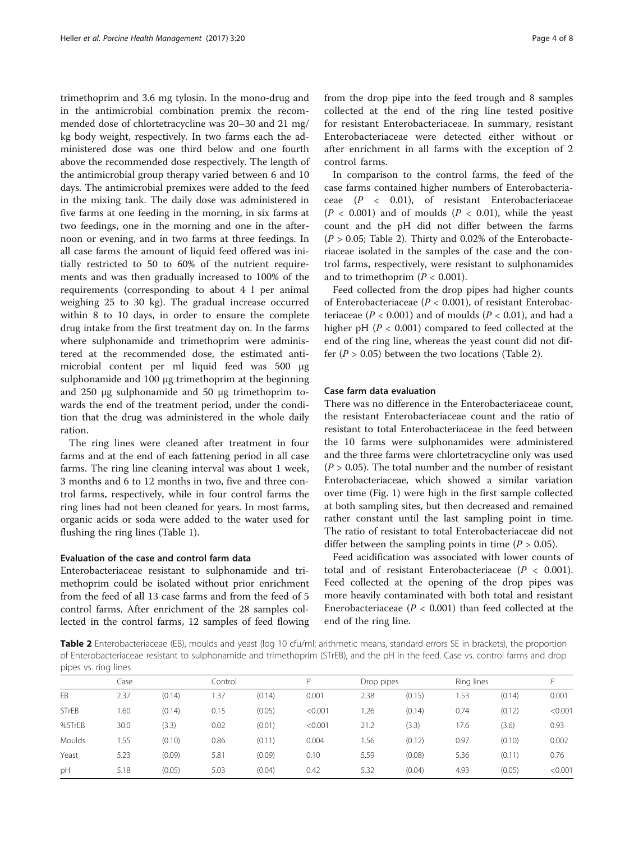trimethoprim and 3.6 mg tylosin. In the mono-drug and in the antimicrobial combination premix the recommended dose of chlortetracycline was 20–30 and 21 mg/ kg body weight, respectively. In two farms each the administered dose was one third below and one fourth above the recommended dose respectively. The length of the antimicrobial group therapy varied between 6 and 10 days. The antimicrobial premixes were added to the feed in the mixing tank. The daily dose was administered in five farms at one feeding in the morning, in six farms at two feedings, one in the morning and one in the afternoon or evening, and in two farms at three feedings. In all case farms the amount of liquid feed offered was initially restricted to 50 to 60% of the nutrient requirements and was then gradually increased to 100% of the requirements (corresponding to about 4 l per animal weighing 25 to 30 kg). The gradual increase occurred within 8 to 10 days, in order to ensure the complete drug intake from the first treatment day on. In the farms where sulphonamide and trimethoprim were administered at the recommended dose, the estimated antimicrobial content per ml liquid feed was 500 μg sulphonamide and 100 μg trimethoprim at the beginning and 250 μg sulphonamide and 50 μg trimethoprim towards the end of the treatment period, under the condition that the drug was administered in the whole daily ration.

The ring lines were cleaned after treatment in four farms and at the end of each fattening period in all case farms. The ring line cleaning interval was about 1 week, 3 months and 6 to 12 months in two, five and three control farms, respectively, while in four control farms the ring lines had not been cleaned for years. In most farms, organic acids or soda were added to the water used for flushing the ring lines (Table [1](#page-2-0)).

## Evaluation of the case and control farm data

Enterobacteriaceae resistant to sulphonamide and trimethoprim could be isolated without prior enrichment from the feed of all 13 case farms and from the feed of 5 control farms. After enrichment of the 28 samples collected in the control farms, 12 samples of feed flowing from the drop pipe into the feed trough and 8 samples collected at the end of the ring line tested positive for resistant Enterobacteriaceae. In summary, resistant Enterobacteriaceae were detected either without or after enrichment in all farms with the exception of 2 control farms.

In comparison to the control farms, the feed of the case farms contained higher numbers of Enterobacteriaceae  $(P \lt 0.01)$ , of resistant Enterobacteriaceae  $(P < 0.001)$  and of moulds  $(P < 0.01)$ , while the yeast count and the pH did not differ between the farms  $(P > 0.05;$  Table 2). Thirty and 0.02% of the Enterobacteriaceae isolated in the samples of the case and the control farms, respectively, were resistant to sulphonamides and to trimethoprim  $(P < 0.001)$ .

Feed collected from the drop pipes had higher counts of Enterobacteriaceae ( $P < 0.001$ ), of resistant Enterobacteriaceae ( $P < 0.001$ ) and of moulds ( $P < 0.01$ ), and had a higher pH ( $P < 0.001$ ) compared to feed collected at the end of the ring line, whereas the yeast count did not differ ( $P > 0.05$ ) between the two locations (Table 2).

# Case farm data evaluation

There was no difference in the Enterobacteriaceae count, the resistant Enterobacteriaceae count and the ratio of resistant to total Enterobacteriaceae in the feed between the 10 farms were sulphonamides were administered and the three farms were chlortetracycline only was used  $(P > 0.05)$ . The total number and the number of resistant Enterobacteriaceae, which showed a similar variation over time (Fig. [1](#page-4-0)) were high in the first sample collected at both sampling sites, but then decreased and remained rather constant until the last sampling point in time. The ratio of resistant to total Enterobacteriaceae did not differ between the sampling points in time  $(P > 0.05)$ .

Feed acidification was associated with lower counts of total and of resistant Enterobacteriaceae ( $P < 0.001$ ). Feed collected at the opening of the drop pipes was more heavily contaminated with both total and resistant Enerobacteriaceae ( $P < 0.001$ ) than feed collected at the end of the ring line.

Table 2 Enterobacteriaceae (EB), moulds and yeast (log 10 cfu/ml; arithmetic means, standard errors SE in brackets), the proportion of Enterobacteriaceae resistant to sulphonamide and trimethoprim (STrEB), and the pH in the feed. Case vs. control farms and drop pipes vs. ring lines

|               | Case |        | Control |        | D       | Drop pipes |        | Ring lines |        | D       |
|---------------|------|--------|---------|--------|---------|------------|--------|------------|--------|---------|
| EB            | 2.37 | (0.14) | .37     | (0.14) | 0.001   | 2.38       | (0.15) | 1.53       | (0.14) | 0.001   |
| <b>STrEB</b>  | .60  | (0.14) | 0.15    | (0.05) | < 0.001 | 1.26       | (0.14) | 0.74       | (0.12) | < 0.001 |
| %STrEB        | 30.0 | (3.3)  | 0.02    | (0.01) | < 0.001 | 21.2       | (3.3)  | 17.6       | (3.6)  | 0.93    |
| <b>Moulds</b> | .55  | (0.10) | 0.86    | (0.11) | 0.004   | 1.56       | (0.12) | 0.97       | (0.10) | 0.002   |
| Yeast         | 5.23 | (0.09) | 5.81    | (0.09) | 0.10    | 5.59       | (0.08) | 5.36       | (0.11) | 0.76    |
| рH            | 5.18 | (0.05) | 5.03    | (0.04) | 0.42    | 5.32       | (0.04) | 4.93       | (0.05) | < 0.001 |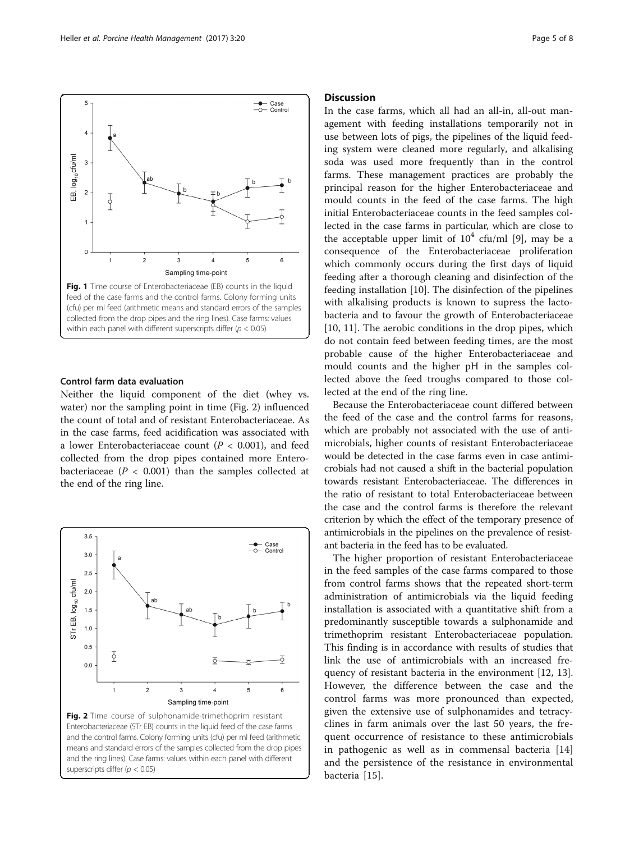<span id="page-4-0"></span>

# Control farm data evaluation

superscripts differ ( $p < 0.05$ )

Neither the liquid component of the diet (whey vs. water) nor the sampling point in time (Fig. 2) influenced the count of total and of resistant Enterobacteriaceae. As in the case farms, feed acidification was associated with a lower Enterobacteriaceae count ( $P < 0.001$ ), and feed collected from the drop pipes contained more Enterobacteriaceae ( $P < 0.001$ ) than the samples collected at the end of the ring line.



# **Discussion**

In the case farms, which all had an all-in, all-out management with feeding installations temporarily not in use between lots of pigs, the pipelines of the liquid feeding system were cleaned more regularly, and alkalising soda was used more frequently than in the control farms. These management practices are probably the principal reason for the higher Enterobacteriaceae and mould counts in the feed of the case farms. The high initial Enterobacteriaceae counts in the feed samples collected in the case farms in particular, which are close to the acceptable upper limit of  $10^4$  cfu/ml [[9](#page-6-0)], may be a consequence of the Enterobacteriaceae proliferation which commonly occurs during the first days of liquid feeding after a thorough cleaning and disinfection of the feeding installation [\[10](#page-6-0)]. The disinfection of the pipelines with alkalising products is known to supress the lactobacteria and to favour the growth of Enterobacteriaceae [[10, 11\]](#page-6-0). The aerobic conditions in the drop pipes, which do not contain feed between feeding times, are the most probable cause of the higher Enterobacteriaceae and mould counts and the higher pH in the samples collected above the feed troughs compared to those collected at the end of the ring line.

Because the Enterobacteriaceae count differed between the feed of the case and the control farms for reasons, which are probably not associated with the use of antimicrobials, higher counts of resistant Enterobacteriaceae would be detected in the case farms even in case antimicrobials had not caused a shift in the bacterial population towards resistant Enterobacteriaceae. The differences in the ratio of resistant to total Enterobacteriaceae between the case and the control farms is therefore the relevant criterion by which the effect of the temporary presence of antimicrobials in the pipelines on the prevalence of resistant bacteria in the feed has to be evaluated.

The higher proportion of resistant Enterobacteriaceae in the feed samples of the case farms compared to those from control farms shows that the repeated short-term administration of antimicrobials via the liquid feeding installation is associated with a quantitative shift from a predominantly susceptible towards a sulphonamide and trimethoprim resistant Enterobacteriaceae population. This finding is in accordance with results of studies that link the use of antimicrobials with an increased frequency of resistant bacteria in the environment [\[12, 13](#page-6-0)]. However, the difference between the case and the control farms was more pronounced than expected, given the extensive use of sulphonamides and tetracyclines in farm animals over the last 50 years, the frequent occurrence of resistance to these antimicrobials in pathogenic as well as in commensal bacteria [\[14](#page-7-0)] and the persistence of the resistance in environmental bacteria [[15\]](#page-7-0).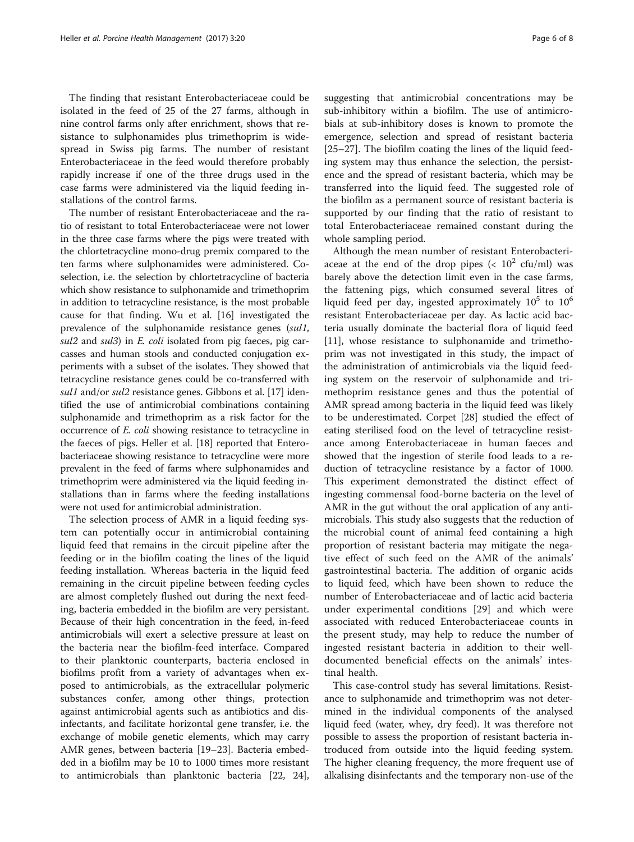The finding that resistant Enterobacteriaceae could be isolated in the feed of 25 of the 27 farms, although in nine control farms only after enrichment, shows that resistance to sulphonamides plus trimethoprim is widespread in Swiss pig farms. The number of resistant Enterobacteriaceae in the feed would therefore probably rapidly increase if one of the three drugs used in the case farms were administered via the liquid feeding installations of the control farms.

The number of resistant Enterobacteriaceae and the ratio of resistant to total Enterobacteriaceae were not lower in the three case farms where the pigs were treated with the chlortetracycline mono-drug premix compared to the ten farms where sulphonamides were administered. Coselection, i.e. the selection by chlortetracycline of bacteria which show resistance to sulphonamide and trimethoprim in addition to tetracycline resistance, is the most probable cause for that finding. Wu et al. [\[16\]](#page-7-0) investigated the prevalence of the sulphonamide resistance genes (sul1, sul2 and sul3) in E. coli isolated from pig faeces, pig carcasses and human stools and conducted conjugation experiments with a subset of the isolates. They showed that tetracycline resistance genes could be co-transferred with sul1 and/or sul2 resistance genes. Gibbons et al. [\[17\]](#page-7-0) identified the use of antimicrobial combinations containing sulphonamide and trimethoprim as a risk factor for the occurrence of E. coli showing resistance to tetracycline in the faeces of pigs. Heller et al. [\[18\]](#page-7-0) reported that Enterobacteriaceae showing resistance to tetracycline were more prevalent in the feed of farms where sulphonamides and trimethoprim were administered via the liquid feeding installations than in farms where the feeding installations were not used for antimicrobial administration.

The selection process of AMR in a liquid feeding system can potentially occur in antimicrobial containing liquid feed that remains in the circuit pipeline after the feeding or in the biofilm coating the lines of the liquid feeding installation. Whereas bacteria in the liquid feed remaining in the circuit pipeline between feeding cycles are almost completely flushed out during the next feeding, bacteria embedded in the biofilm are very persistant. Because of their high concentration in the feed, in-feed antimicrobials will exert a selective pressure at least on the bacteria near the biofilm-feed interface. Compared to their planktonic counterparts, bacteria enclosed in biofilms profit from a variety of advantages when exposed to antimicrobials, as the extracellular polymeric substances confer, among other things, protection against antimicrobial agents such as antibiotics and disinfectants, and facilitate horizontal gene transfer, i.e. the exchange of mobile genetic elements, which may carry AMR genes, between bacteria [\[19](#page-7-0)–[23\]](#page-7-0). Bacteria embedded in a biofilm may be 10 to 1000 times more resistant to antimicrobials than planktonic bacteria [\[22, 24](#page-7-0)], suggesting that antimicrobial concentrations may be sub-inhibitory within a biofilm. The use of antimicrobials at sub-inhibitory doses is known to promote the emergence, selection and spread of resistant bacteria [[25](#page-7-0)–[27](#page-7-0)]. The biofilm coating the lines of the liquid feeding system may thus enhance the selection, the persistence and the spread of resistant bacteria, which may be transferred into the liquid feed. The suggested role of the biofilm as a permanent source of resistant bacteria is supported by our finding that the ratio of resistant to total Enterobacteriaceae remained constant during the whole sampling period.

Although the mean number of resistant Enterobacteriaceae at the end of the drop pipes ( $< 10<sup>2</sup>$  cfu/ml) was barely above the detection limit even in the case farms, the fattening pigs, which consumed several litres of liquid feed per day, ingested approximately  $10^5$  to  $10^6$ resistant Enterobacteriaceae per day. As lactic acid bacteria usually dominate the bacterial flora of liquid feed [[11\]](#page-6-0), whose resistance to sulphonamide and trimethoprim was not investigated in this study, the impact of the administration of antimicrobials via the liquid feeding system on the reservoir of sulphonamide and trimethoprim resistance genes and thus the potential of AMR spread among bacteria in the liquid feed was likely to be underestimated. Corpet [\[28\]](#page-7-0) studied the effect of eating sterilised food on the level of tetracycline resistance among Enterobacteriaceae in human faeces and showed that the ingestion of sterile food leads to a reduction of tetracycline resistance by a factor of 1000. This experiment demonstrated the distinct effect of ingesting commensal food-borne bacteria on the level of AMR in the gut without the oral application of any antimicrobials. This study also suggests that the reduction of the microbial count of animal feed containing a high proportion of resistant bacteria may mitigate the negative effect of such feed on the AMR of the animals' gastrointestinal bacteria. The addition of organic acids to liquid feed, which have been shown to reduce the number of Enterobacteriaceae and of lactic acid bacteria under experimental conditions [[29\]](#page-7-0) and which were associated with reduced Enterobacteriaceae counts in the present study, may help to reduce the number of ingested resistant bacteria in addition to their welldocumented beneficial effects on the animals' intestinal health.

This case-control study has several limitations. Resistance to sulphonamide and trimethoprim was not determined in the individual components of the analysed liquid feed (water, whey, dry feed). It was therefore not possible to assess the proportion of resistant bacteria introduced from outside into the liquid feeding system. The higher cleaning frequency, the more frequent use of alkalising disinfectants and the temporary non-use of the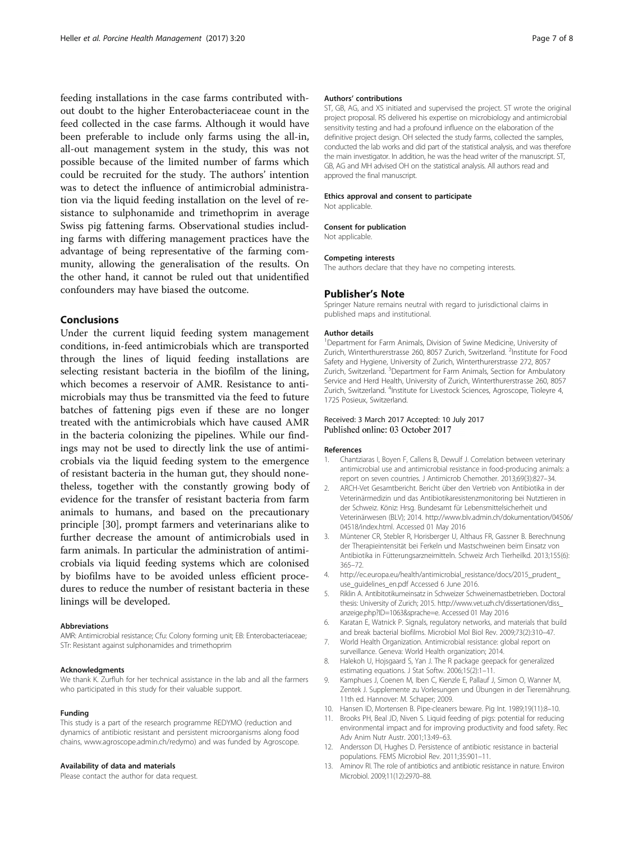<span id="page-6-0"></span>feeding installations in the case farms contributed without doubt to the higher Enterobacteriaceae count in the feed collected in the case farms. Although it would have been preferable to include only farms using the all-in, all-out management system in the study, this was not possible because of the limited number of farms which could be recruited for the study. The authors' intention was to detect the influence of antimicrobial administration via the liquid feeding installation on the level of resistance to sulphonamide and trimethoprim in average Swiss pig fattening farms. Observational studies including farms with differing management practices have the advantage of being representative of the farming community, allowing the generalisation of the results. On the other hand, it cannot be ruled out that unidentified confounders may have biased the outcome.

# Conclusions

Under the current liquid feeding system management conditions, in-feed antimicrobials which are transported through the lines of liquid feeding installations are selecting resistant bacteria in the biofilm of the lining, which becomes a reservoir of AMR. Resistance to antimicrobials may thus be transmitted via the feed to future batches of fattening pigs even if these are no longer treated with the antimicrobials which have caused AMR in the bacteria colonizing the pipelines. While our findings may not be used to directly link the use of antimicrobials via the liquid feeding system to the emergence of resistant bacteria in the human gut, they should nonetheless, together with the constantly growing body of evidence for the transfer of resistant bacteria from farm animals to humans, and based on the precautionary principle [\[30\]](#page-7-0), prompt farmers and veterinarians alike to further decrease the amount of antimicrobials used in farm animals. In particular the administration of antimicrobials via liquid feeding systems which are colonised by biofilms have to be avoided unless efficient procedures to reduce the number of resistant bacteria in these linings will be developed.

#### Abbreviations

AMR: Antimicrobial resistance; Cfu: Colony forming unit; EB: Enterobacteriaceae; STr: Resistant against sulphonamides and trimethoprim

#### Acknowledgments

We thank K. Zurfluh for her technical assistance in the lab and all the farmers who participated in this study for their valuable support.

#### Funding

This study is a part of the research programme REDYMO (reduction and dynamics of antibiotic resistant and persistent microorganisms along food chains, [www.agroscope.admin.ch/redymo](http://www.agroscope.admin.ch/redymo)) and was funded by Agroscope.

# Availability of data and materials

Please contact the author for data request.

## Authors' contributions

ST, GB, AG, and XS initiated and supervised the project. ST wrote the original project proposal. RS delivered his expertise on microbiology and antimicrobial sensitivity testing and had a profound influence on the elaboration of the definitive project design. OH selected the study farms, collected the samples, conducted the lab works and did part of the statistical analysis, and was therefore the main investigator. In addition, he was the head writer of the manuscript. ST, GB, AG and MH advised OH on the statistical analysis. All authors read and approved the final manuscript.

# Ethics approval and consent to participate

Not applicable.

#### Consent for publication

Not applicable.

#### Competing interests

The authors declare that they have no competing interests.

## Publisher's Note

Springer Nature remains neutral with regard to jurisdictional claims in published maps and institutional.

#### Author details

<sup>1</sup>Department for Farm Animals, Division of Swine Medicine, University of Zurich, Winterthurerstrasse 260, 8057 Zurich, Switzerland. <sup>2</sup>Institute for Food Safety and Hygiene, University of Zurich, Winterthurerstrasse 272, 8057 Zurich, Switzerland. <sup>3</sup> Department for Farm Animals, Section for Ambulatory Service and Herd Health, University of Zurich, Winterthurerstrasse 260, 8057 Zurich, Switzerland. <sup>4</sup>Institute for Livestock Sciences, Agroscope, Tioleyre 4 1725 Posieux, Switzerland.

## Received: 3 March 2017 Accepted: 10 July 2017 Published online: 03 October 2017

#### References

- 1. Chantziaras I, Boyen F, Callens B, Dewulf J. Correlation between veterinary antimicrobial use and antimicrobial resistance in food-producing animals: a report on seven countries. J Antimicrob Chemother. 2013;69(3):827–34.
- 2. ARCH-Vet Gesamtbericht. Bericht über den Vertrieb von Antibiotika in der Veterinärmedizin und das Antibiotikaresistenzmonitoring bei Nutztieren in der Schweiz. Köniz: Hrsg. Bundesamt für Lebensmittelsicherheit und Veterinärwesen (BLV); 2014. [http://www.blv.admin.ch/dokumentation/04506/](http://www.blv.admin.ch/dokumentation/04506/04518/index.html) [04518/index.html](http://www.blv.admin.ch/dokumentation/04506/04518/index.html). Accessed 01 May 2016
- 3. Müntener CR, Stebler R, Horisberger U, Althaus FR, Gassner B. Berechnung der Therapieintensität bei Ferkeln und Mastschweinen beim Einsatz von Antibiotika in Fütterungsarzneimitteln. Schweiz Arch Tierheilkd. 2013;155(6): 365–72.
- 4. [http://ec.europa.eu/health/antimicrobial\\_resistance/docs/2015\\_prudent\\_](http://ec.europa.eu/health/antimicrobial_resistance/docs/2015_prudent_use_guidelines_en.pdf) use\_quidelines\_en.pdf Accessed 6 June 2016.
- 5. Riklin A. Antibitotikumeinsatz in Schweizer Schweinemastbetrieben. Doctoral thesis: University of Zurich; 2015. [http://www.vet.uzh.ch/dissertationen/diss\\_](http://www.vet.uzh.ch/dissertationen/diss_anzeige.php?ID=1063&sprache=e) [anzeige.php?ID=1063&sprache=e.](http://www.vet.uzh.ch/dissertationen/diss_anzeige.php?ID=1063&sprache=e) Accessed 01 May 2016
- 6. Karatan E, Watnick P. Signals, regulatory networks, and materials that build and break bacterial biofilms. Microbiol Mol Biol Rev. 2009;73(2):310–47.
- 7. World Health Organization. Antimicrobial resistance: global report on surveillance. Geneva: World Health organization; 2014.
- 8. Halekoh U, Hojsgaard S, Yan J. The R package geepack for generalized estimating equations. J Stat Softw. 2006;15(2):1–11.
- 9. Kamphues J, Coenen M, Iben C, Kienzle E, Pallauf J, Simon O, Wanner M, Zentek J. Supplemente zu Vorlesungen und Übungen in der Tierernährung. 11th ed. Hannover: M. Schaper; 2009.
- 10. Hansen ID, Mortensen B. Pipe-cleaners beware. Pig Int. 1989;19(11):8–10.
- 11. Brooks PH, Beal JD, Niven S. Liquid feeding of pigs: potential for reducing environmental impact and for improving productivity and food safety. Rec Adv Anim Nutr Austr. 2001;13:49–63.
- 12. Andersson DI, Hughes D. Persistence of antibiotic resistance in bacterial populations. FEMS Microbiol Rev. 2011;35:901–11.
- 13. Aminov RI. The role of antibiotics and antibiotic resistance in nature. Environ Microbiol. 2009;11(12):2970–88.